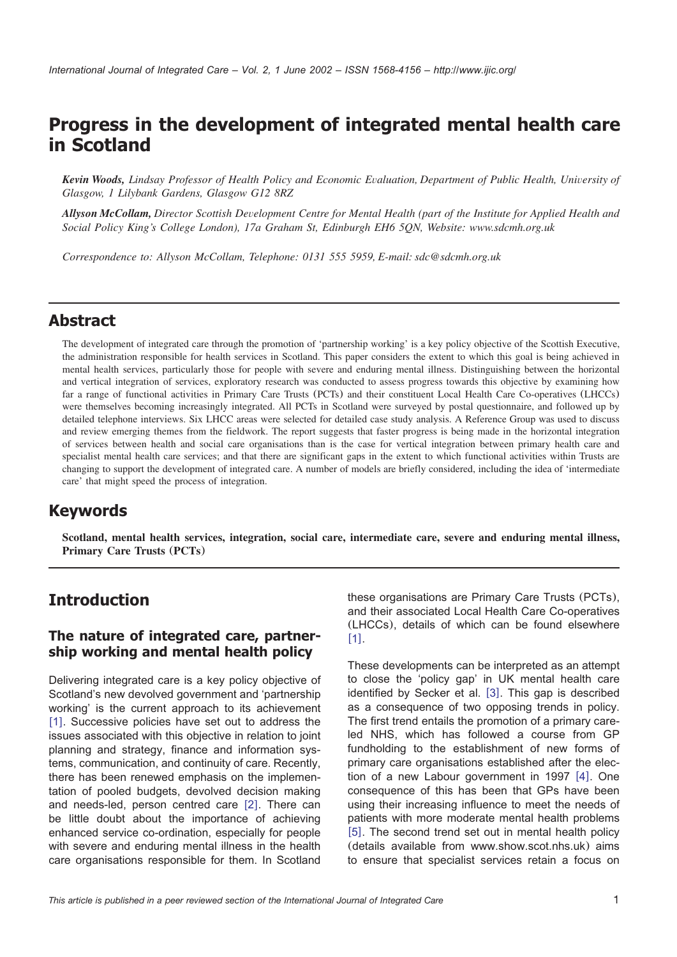# **Progress in the development of integrated mental health care in Scotland**

*Kevin Woods, Lindsay Professor of Health Policy and Economic Evaluation, Department of Public Health, University of Glasgow, 1 Lilybank Gardens, Glasgow G12 8RZ*

*Allyson McCollam, Director Scottish Development Centre for Mental Health (part of the Institute for Applied Health and Social Policy King's College London), 17a Graham St, Edinburgh EH6 5QN, Website: www.sdcmh.org.uk*

*Correspondence to: Allyson McCollam, Telephone: 0131 555 5959, E-mail: sdc@sdcmh.org.uk*

### **Abstract**

The development of integrated care through the promotion of 'partnership working' is a key policy objective of the Scottish Executive, the administration responsible for health services in Scotland. This paper considers the extent to which this goal is being achieved in mental health services, particularly those for people with severe and enduring mental illness. Distinguishing between the horizontal and vertical integration of services, exploratory research was conducted to assess progress towards this objective by examining how far a range of functional activities in Primary Care Trusts (PCTs) and their constituent Local Health Care Co-operatives (LHCCs) were themselves becoming increasingly integrated. All PCTs in Scotland were surveyed by postal questionnaire, and followed up by detailed telephone interviews. Six LHCC areas were selected for detailed case study analysis. A Reference Group was used to discuss and review emerging themes from the fieldwork. The report suggests that faster progress is being made in the horizontal integration of services between health and social care organisations than is the case for vertical integration between primary health care and specialist mental health care services; and that there are significant gaps in the extent to which functional activities within Trusts are changing to support the development of integrated care. A number of models are briefly considered, including the idea of 'intermediate care' that might speed the process of integration.

## **Keywords**

**Scotland, mental health services, integration, social care, intermediate care, severe and enduring mental illness, Primary Care Trusts** (**PCTs**)

## **Introduction**

### **The nature of integrated care, partnership working and mental health policy**

Delivering integrated care is a key policy objective of Scotland's new devolved government and 'partnership working' is the current approach to its achievement [[1](#page-16-0)]. Successive policies have set out to address the issues associated with this objective in relation to joint planning and strategy, finance and information systems, communication, and continuity of care. Recently, there has been renewed emphasis on the implementation of pooled budgets, devolved decision making and needs-led, person centred care  $[2]$  $[2]$  $[2]$ . There can be little doubt about the importance of achieving enhanced service co-ordination, especially for people with severe and enduring mental illness in the health care organisations responsible for them. In Scotland

these organisations are Primary Care Trusts (PCTs), and their associated Local Health Care Co-operatives (LHCCs), details of which can be found elsewhere  $[1]$  $[1]$  $[1]$ .

These developments can be interpreted as an attempt to close the 'policy gap' in UK mental health care identified by Secker et al. [[3](#page-16-0)]. This gap is described as a consequence of two opposing trends in policy. The first trend entails the promotion of a primary careled NHS, which has followed a course from GP fundholding to the establishment of new forms of primary care organisations established after the election of a new Labour government in 1997  $[4]$  $[4]$  $[4]$ . One consequence of this has been that GPs have been using their increasing influence to meet the needs of patients with more moderate mental health problems  $[5]$  $[5]$  $[5]$ . The second trend set out in mental health policy (details available from www.show.scot.nhs.uk) aims to ensure that specialist services retain a focus on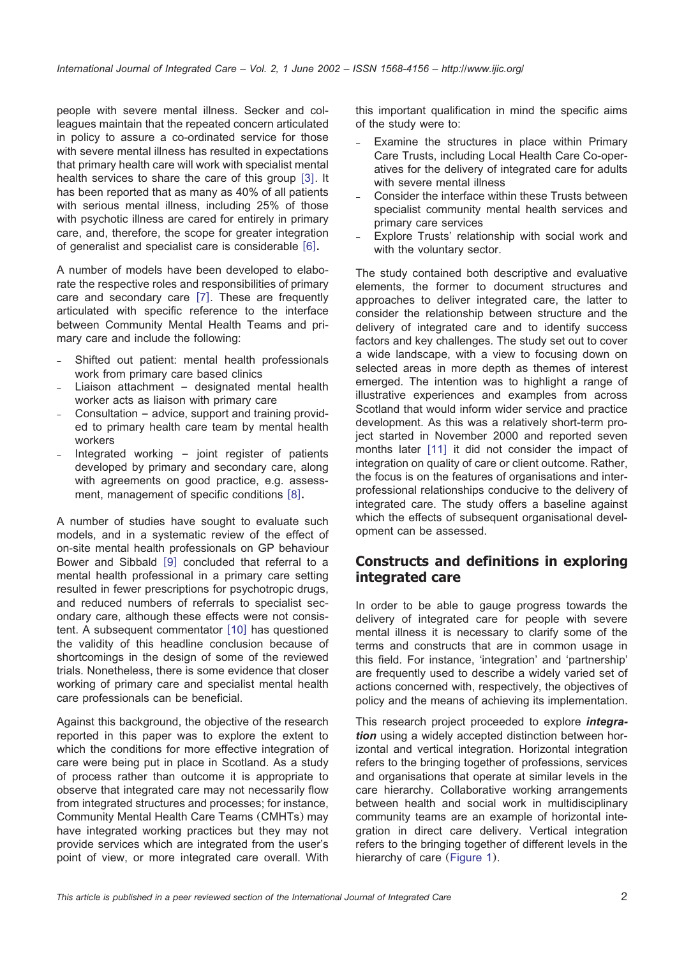people with severe mental illness. Secker and colleagues maintain that the repeated concern articulated in policy to assure a co-ordinated service for those with severe mental illness has resulted in expectations that primary health care will work with specialist mental health services to share the care of this group  $\lceil 3 \rceil$  $\lceil 3 \rceil$  $\lceil 3 \rceil$ . It has been reported that as many as 40% of all patients with serious mental illness, including 25% of those with psychotic illness are cared for entirely in primary care, and, therefore, the scope for greater integration of generalist and specialist care is considerable [[6](#page-16-0)].

A number of models have been developed to elaborate the respective roles and responsibilities of primary care and secondary care  $[7]$  $[7]$  $[7]$ . These are frequently articulated with specific reference to the interface between Community Mental Health Teams and primary care and include the following:

- Shifted out patient: mental health professionals work from primary care based clinics
- Liaison attachment designated mental health worker acts as liaison with primary care
- Consultation advice, support and training provided to primary health care team by mental health workers
- Integrated working  $-$  joint register of patients developed by primary and secondary care, along with agreements on good practice, e.g. assess-ment, management of specific conditions [[8](#page-16-0)].

A number of studies have sought to evaluate such models, and in a systematic review of the effect of on-site mental health professionals on GP behaviour Bower and Sibbald [[9](#page-16-0)] concluded that referral to a mental health professional in a primary care setting resulted in fewer prescriptions for psychotropic drugs, and reduced numbers of referrals to specialist secondary care, although these effects were not consistent. A subsequent commentator  $[10]$  $[10]$  $[10]$  has questioned the validity of this headline conclusion because of shortcomings in the design of some of the reviewed trials. Nonetheless, there is some evidence that closer working of primary care and specialist mental health care professionals can be beneficial.

Against this background, the objective of the research reported in this paper was to explore the extent to which the conditions for more effective integration of care were being put in place in Scotland. As a study of process rather than outcome it is appropriate to observe that integrated care may not necessarily flow from integrated structures and processes; for instance, Community Mental Health Care Teams (CMHTs) may have integrated working practices but they may not provide services which are integrated from the user's point of view, or more integrated care overall. With this important qualification in mind the specific aims of the study were to:

- Examine the structures in place within Primary Care Trusts, including Local Health Care Co-operatives for the delivery of integrated care for adults with severe mental illness
- Consider the interface within these Trusts between specialist community mental health services and primary care services
- Explore Trusts' relationship with social work and with the voluntary sector.

The study contained both descriptive and evaluative elements, the former to document structures and approaches to deliver integrated care, the latter to consider the relationship between structure and the delivery of integrated care and to identify success factors and key challenges. The study set out to cover a wide landscape, with a view to focusing down on selected areas in more depth as themes of interest emerged. The intention was to highlight a range of illustrative experiences and examples from across Scotland that would inform wider service and practice development. As this was a relatively short-term project started in November 2000 and reported seven months later [[11](#page-16-0)] it did not consider the impact of integration on quality of care or client outcome. Rather, the focus is on the features of organisations and interprofessional relationships conducive to the delivery of integrated care. The study offers a baseline against which the effects of subsequent organisational development can be assessed.

### **Constructs and definitions in exploring integrated care**

In order to be able to gauge progress towards the delivery of integrated care for people with severe mental illness it is necessary to clarify some of the terms and constructs that are in common usage in this field. For instance, 'integration' and 'partnership' are frequently used to describe a widely varied set of actions concerned with, respectively, the objectives of policy and the means of achieving its implementation.

This research project proceeded to explore *integration* using a widely accepted distinction between horizontal and vertical integration. Horizontal integration refers to the bringing together of professions, services and organisations that operate at similar levels in the care hierarchy. Collaborative working arrangements between health and social work in multidisciplinary community teams are an example of horizontal integration in direct care delivery. Vertical integration refers to the bringing together of different levels in the hierarchy of care ([Figure 1](#page-2-0)).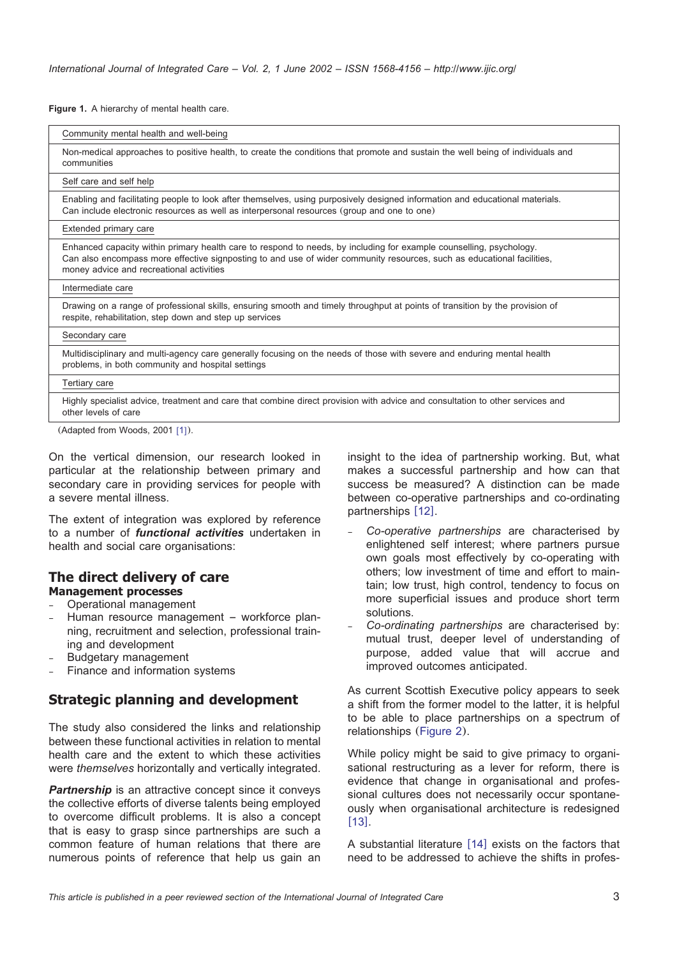<span id="page-2-0"></span>**Figure 1.** A hierarchy of mental health care.

| Community mental health and well-being                                                                                                                                                                                                                                                    |
|-------------------------------------------------------------------------------------------------------------------------------------------------------------------------------------------------------------------------------------------------------------------------------------------|
| Non-medical approaches to positive health, to create the conditions that promote and sustain the well being of individuals and<br>communities                                                                                                                                             |
| Self care and self help                                                                                                                                                                                                                                                                   |
| Enabling and facilitating people to look after themselves, using purposively designed information and educational materials.<br>Can include electronic resources as well as interpersonal resources (group and one to one)                                                                |
| Extended primary care                                                                                                                                                                                                                                                                     |
| Enhanced capacity within primary health care to respond to needs, by including for example counselling, psychology.<br>Can also encompass more effective signposting to and use of wider community resources, such as educational facilities,<br>money advice and recreational activities |
| Intermediate care                                                                                                                                                                                                                                                                         |
| Drawing on a range of professional skills, ensuring smooth and timely throughput at points of transition by the provision of<br>respite, rehabilitation, step down and step up services                                                                                                   |
| Secondary care                                                                                                                                                                                                                                                                            |
| Multidisciplinary and multi-agency care generally focusing on the needs of those with severe and enduring mental health<br>problems, in both community and hospital settings                                                                                                              |
|                                                                                                                                                                                                                                                                                           |
| Tertiary care                                                                                                                                                                                                                                                                             |
| Highly specialist advice, treatment and care that combine direct provision with advice and consultation to other services and<br>other levels of care                                                                                                                                     |

On the vertical dimension, our research looked in particular at the relationship between primary and secondary care in providing services for people with a severe mental illness.

The extent of integration was explored by reference to a number of *functional activities* undertaken in health and social care organisations:

#### **The direct delivery of care Management processes**

- Operational management
- Human resource management workforce planning, recruitment and selection, professional training and development
- Budgetary management
- Finance and information systems

### **Strategic planning and development**

The study also considered the links and relationship between these functional activities in relation to mental health care and the extent to which these activities were *themselves* horizontally and vertically integrated.

**Partnership** is an attractive concept since it conveys the collective efforts of diverse talents being employed to overcome difficult problems. It is also a concept that is easy to grasp since partnerships are such a common feature of human relations that there are numerous points of reference that help us gain an

insight to the idea of partnership working. But, what makes a successful partnership and how can that success be measured? A distinction can be made between co-operative partnerships and co-ordinating partnerships [[12](#page-16-0)].

- *Co-operative partnerships* are characterised by enlightened self interest; where partners pursue own goals most effectively by co-operating with others; low investment of time and effort to maintain; low trust, high control, tendency to focus on more superficial issues and produce short term solutions.
- *Co-ordinating partnerships* are characterised by: mutual trust, deeper level of understanding of purpose, added value that will accrue and improved outcomes anticipated.

As current Scottish Executive policy appears to seek a shift from the former model to the latter, it is helpful to be able to place partnerships on a spectrum of relationships ([Figure 2](#page-3-0)).

While policy might be said to give primacy to organisational restructuring as a lever for reform, there is evidence that change in organisational and professional cultures does not necessarily occur spontaneously when organisational architecture is redesigned  $[13]$  $[13]$  $[13]$ .

A substantial literature  $[14]$  $[14]$  $[14]$  exists on the factors that need to be addressed to achieve the shifts in profes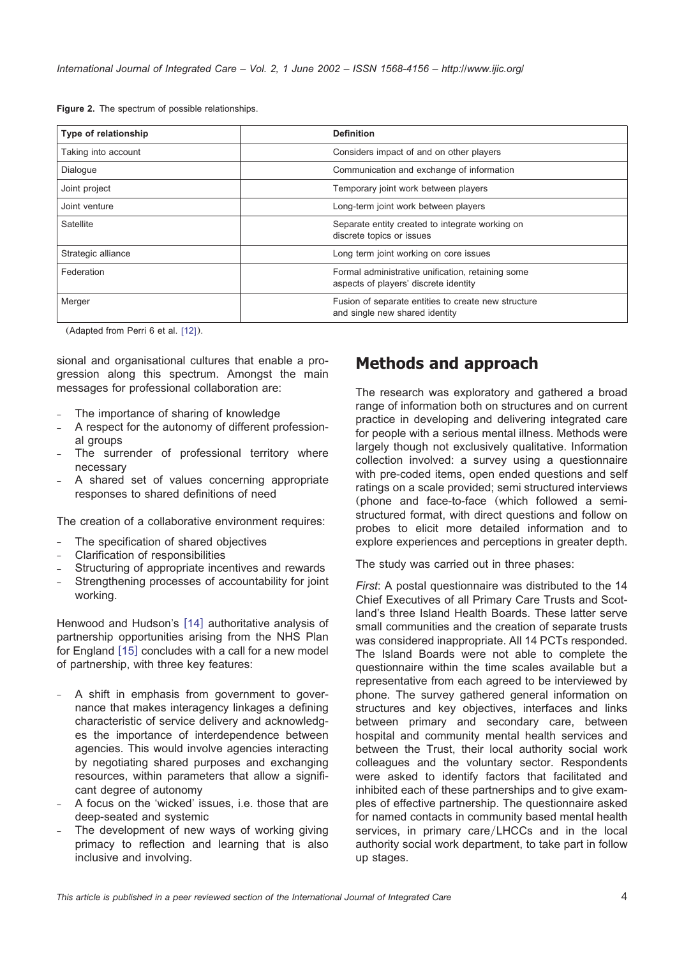<span id="page-3-0"></span>**Figure 2.** The spectrum of possible relationships.

| Type of relationship | <b>Definition</b>                                                                          |
|----------------------|--------------------------------------------------------------------------------------------|
| Taking into account  | Considers impact of and on other players                                                   |
| Dialogue             | Communication and exchange of information                                                  |
| Joint project        | Temporary joint work between players                                                       |
| Joint venture        | Long-term joint work between players                                                       |
| Satellite            | Separate entity created to integrate working on<br>discrete topics or issues               |
| Strategic alliance   | Long term joint working on core issues                                                     |
| Federation           | Formal administrative unification, retaining some<br>aspects of players' discrete identity |
| Merger               | Fusion of separate entities to create new structure<br>and single new shared identity      |

 $(Adapted from Perri 6 et al. [12]).$  $(Adapted from Perri 6 et al. [12]).$  $(Adapted from Perri 6 et al. [12]).$ 

sional and organisational cultures that enable a progression along this spectrum. Amongst the main messages for professional collaboration are:

- The importance of sharing of knowledge
- A respect for the autonomy of different professional groups
- The surrender of professional territory where necessary
- A shared set of values concerning appropriate responses to shared definitions of need

The creation of a collaborative environment requires:

- The specification of shared objectives
- Clarification of responsibilities
- Structuring of appropriate incentives and rewards
- Strengthening processes of accountability for joint working.

Henwood and Hudson's [[14](#page-16-0)] authoritative analysis of partnership opportunities arising from the NHS Plan for England  $[15]$  $[15]$  $[15]$  concludes with a call for a new model of partnership, with three key features:

- A shift in emphasis from government to governance that makes interagency linkages a defining characteristic of service delivery and acknowledges the importance of interdependence between agencies. This would involve agencies interacting by negotiating shared purposes and exchanging resources, within parameters that allow a significant degree of autonomy
- A focus on the 'wicked' issues, i.e. those that are deep-seated and systemic
- The development of new ways of working giving primacy to reflection and learning that is also inclusive and involving.

# **Methods and approach**

The research was exploratory and gathered a broad range of information both on structures and on current practice in developing and delivering integrated care for people with a serious mental illness. Methods were largely though not exclusively qualitative. Information collection involved: a survey using a questionnaire with pre-coded items, open ended questions and self ratings on a scale provided; semi structured interviews (phone and face-to-face (which followed a semistructured format, with direct questions and follow on probes to elicit more detailed information and to explore experiences and perceptions in greater depth.

The study was carried out in three phases:

*First*: A postal questionnaire was distributed to the 14 Chief Executives of all Primary Care Trusts and Scotland's three Island Health Boards. These latter serve small communities and the creation of separate trusts was considered inappropriate. All 14 PCTs responded. The Island Boards were not able to complete the questionnaire within the time scales available but a representative from each agreed to be interviewed by phone. The survey gathered general information on structures and key objectives, interfaces and links between primary and secondary care, between hospital and community mental health services and between the Trust, their local authority social work colleagues and the voluntary sector. Respondents were asked to identify factors that facilitated and inhibited each of these partnerships and to give examples of effective partnership. The questionnaire asked for named contacts in community based mental health services, in primary care/LHCCs and in the local authority social work department, to take part in follow up stages.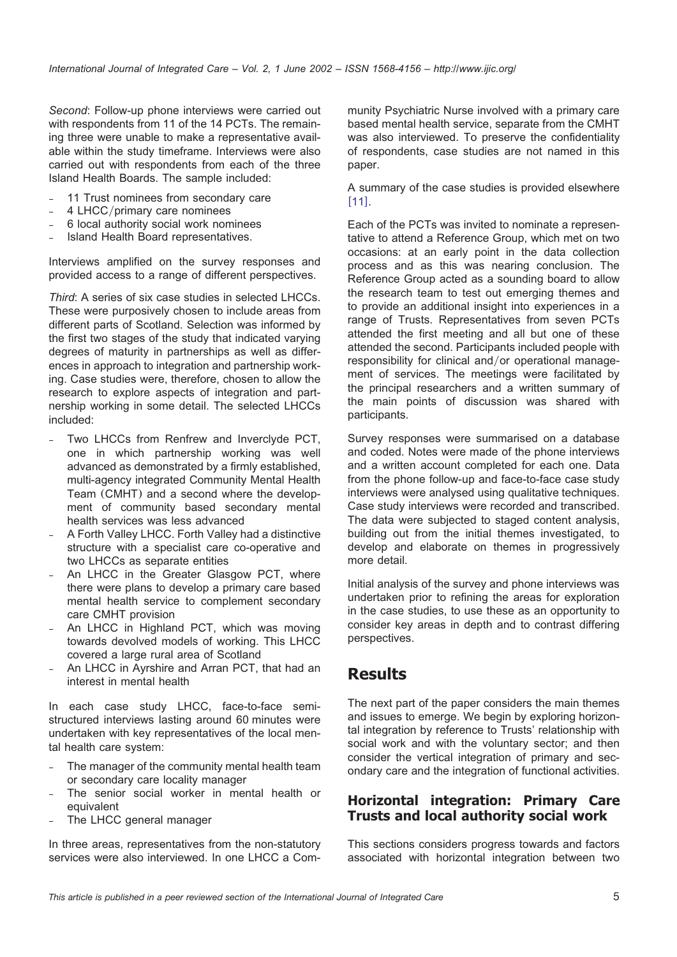*Second*: Follow-up phone interviews were carried out with respondents from 11 of the 14 PCTs. The remaining three were unable to make a representative available within the study timeframe. Interviews were also carried out with respondents from each of the three Island Health Boards. The sample included:

- 11 Trust nominees from secondary care
- 4 LHCC/primary care nominees
- 6 local authority social work nominees
- Island Health Board representatives.

Interviews amplified on the survey responses and provided access to a range of different perspectives.

*Third*: A series of six case studies in selected LHCCs. These were purposively chosen to include areas from different parts of Scotland. Selection was informed by the first two stages of the study that indicated varying degrees of maturity in partnerships as well as differences in approach to integration and partnership working. Case studies were, therefore, chosen to allow the research to explore aspects of integration and partnership working in some detail. The selected LHCCs included:

- Two LHCCs from Renfrew and Inverclyde PCT, one in which partnership working was well advanced as demonstrated by a firmly established, multi-agency integrated Community Mental Health Team (CMHT) and a second where the development of community based secondary mental health services was less advanced
- A Forth Valley LHCC. Forth Valley had a distinctive structure with a specialist care co-operative and two LHCCs as separate entities
- An LHCC in the Greater Glasgow PCT, where there were plans to develop a primary care based mental health service to complement secondary care CMHT provision
- An LHCC in Highland PCT, which was moving towards devolved models of working. This LHCC covered a large rural area of Scotland
- An LHCC in Ayrshire and Arran PCT, that had an interest in mental health

In each case study LHCC, face-to-face semistructured interviews lasting around 60 minutes were undertaken with key representatives of the local mental health care system:

- The manager of the community mental health team or secondary care locality manager
- The senior social worker in mental health or equivalent
- The LHCC general manager

In three areas, representatives from the non-statutory services were also interviewed. In one LHCC a Community Psychiatric Nurse involved with a primary care based mental health service, separate from the CMHT was also interviewed. To preserve the confidentiality of respondents, case studies are not named in this paper.

#### A summary of the case studies is provided elsewhere  $[111]$  $[111]$  $[111]$ .

Each of the PCTs was invited to nominate a representative to attend a Reference Group, which met on two occasions: at an early point in the data collection process and as this was nearing conclusion. The Reference Group acted as a sounding board to allow the research team to test out emerging themes and to provide an additional insight into experiences in a range of Trusts. Representatives from seven PCTs attended the first meeting and all but one of these attended the second. Participants included people with responsibility for clinical and/or operational management of services. The meetings were facilitated by the principal researchers and a written summary of the main points of discussion was shared with participants.

Survey responses were summarised on a database and coded. Notes were made of the phone interviews and a written account completed for each one. Data from the phone follow-up and face-to-face case study interviews were analysed using qualitative techniques. Case study interviews were recorded and transcribed. The data were subjected to staged content analysis, building out from the initial themes investigated, to develop and elaborate on themes in progressively more detail.

Initial analysis of the survey and phone interviews was undertaken prior to refining the areas for exploration in the case studies, to use these as an opportunity to consider key areas in depth and to contrast differing perspectives.

## **Results**

The next part of the paper considers the main themes and issues to emerge. We begin by exploring horizontal integration by reference to Trusts' relationship with social work and with the voluntary sector; and then consider the vertical integration of primary and secondary care and the integration of functional activities.

### **Horizontal integration: Primary Care Trusts and local authority social work**

This sections considers progress towards and factors associated with horizontal integration between two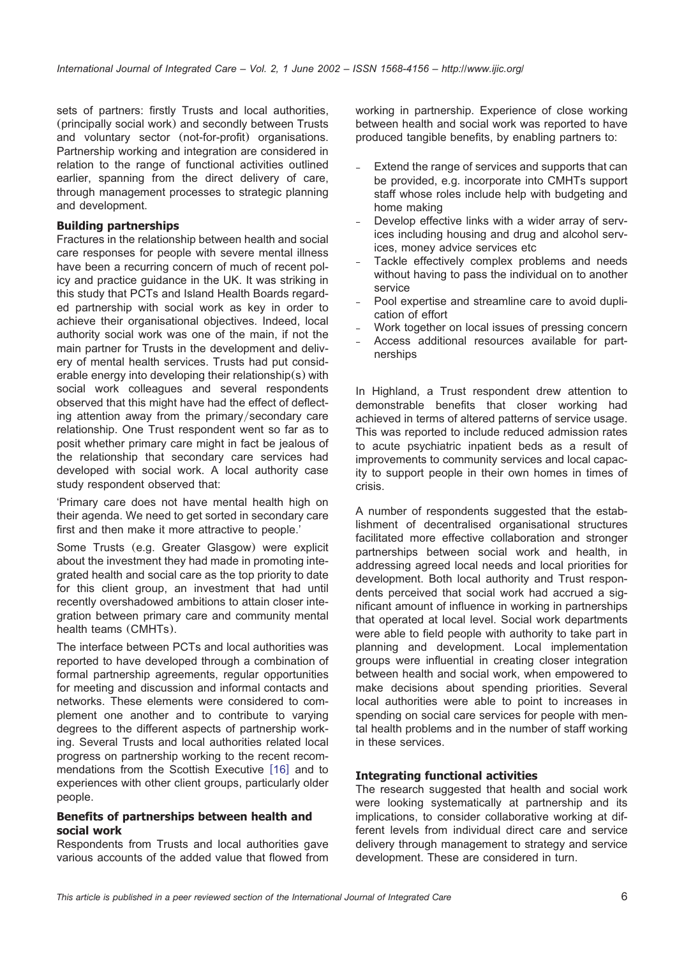sets of partners: firstly Trusts and local authorities, (principally social work) and secondly between Trusts and voluntary sector (not-for-profit) organisations. Partnership working and integration are considered in relation to the range of functional activities outlined earlier, spanning from the direct delivery of care, through management processes to strategic planning and development.

#### **Building partnerships**

Fractures in the relationship between health and social care responses for people with severe mental illness have been a recurring concern of much of recent policy and practice guidance in the UK. It was striking in this study that PCTs and Island Health Boards regarded partnership with social work as key in order to achieve their organisational objectives. Indeed, local authority social work was one of the main, if not the main partner for Trusts in the development and delivery of mental health services. Trusts had put considerable energy into developing their relationship(s) with social work colleagues and several respondents observed that this might have had the effect of deflecting attention away from the primary/secondary care relationship. One Trust respondent went so far as to posit whether primary care might in fact be jealous of the relationship that secondary care services had developed with social work. A local authority case study respondent observed that:

'Primary care does not have mental health high on their agenda. We need to get sorted in secondary care first and then make it more attractive to people.'

Some Trusts (e.g. Greater Glasgow) were explicit about the investment they had made in promoting integrated health and social care as the top priority to date for this client group, an investment that had until recently overshadowed ambitions to attain closer integration between primary care and community mental health teams (CMHTs).

The interface between PCTs and local authorities was reported to have developed through a combination of formal partnership agreements, regular opportunities for meeting and discussion and informal contacts and networks. These elements were considered to complement one another and to contribute to varying degrees to the different aspects of partnership working. Several Trusts and local authorities related local progress on partnership working to the recent recommendations from the Scottish Executive  $[16]$  $[16]$  $[16]$  and to experiences with other client groups, particularly older people.

#### **Benefits of partnerships between health and social work**

Respondents from Trusts and local authorities gave various accounts of the added value that flowed from working in partnership. Experience of close working between health and social work was reported to have produced tangible benefits, by enabling partners to:

- Extend the range of services and supports that can be provided, e.g. incorporate into CMHTs support staff whose roles include help with budgeting and home making
- Develop effective links with a wider array of services including housing and drug and alcohol services, money advice services etc
- Tackle effectively complex problems and needs without having to pass the individual on to another service
- Pool expertise and streamline care to avoid duplication of effort
- Work together on local issues of pressing concern
- Access additional resources available for partnerships

In Highland, a Trust respondent drew attention to demonstrable benefits that closer working had achieved in terms of altered patterns of service usage. This was reported to include reduced admission rates to acute psychiatric inpatient beds as a result of improvements to community services and local capacity to support people in their own homes in times of crisis.

A number of respondents suggested that the establishment of decentralised organisational structures facilitated more effective collaboration and stronger partnerships between social work and health, in addressing agreed local needs and local priorities for development. Both local authority and Trust respondents perceived that social work had accrued a significant amount of influence in working in partnerships that operated at local level. Social work departments were able to field people with authority to take part in planning and development. Local implementation groups were influential in creating closer integration between health and social work, when empowered to make decisions about spending priorities. Several local authorities were able to point to increases in spending on social care services for people with mental health problems and in the number of staff working in these services.

#### **Integrating functional activities**

The research suggested that health and social work were looking systematically at partnership and its implications, to consider collaborative working at different levels from individual direct care and service delivery through management to strategy and service development. These are considered in turn.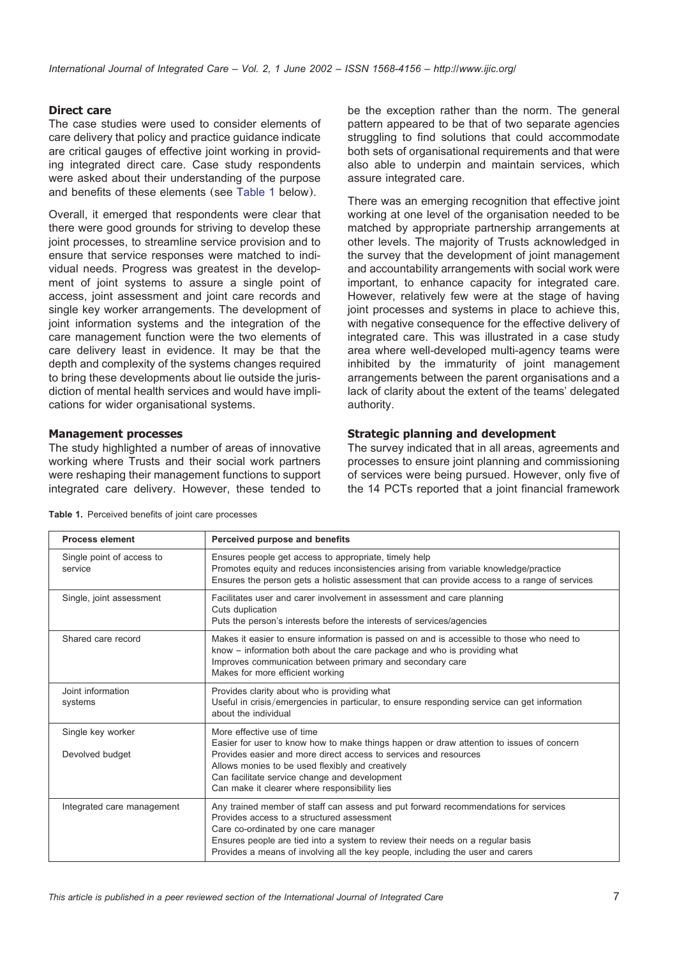#### **Direct care**

The case studies were used to consider elements of care delivery that policy and practice guidance indicate are critical gauges of effective joint working in providing integrated direct care. Case study respondents were asked about their understanding of the purpose and benefits of these elements (see Table 1 below).

Overall, it emerged that respondents were clear that there were good grounds for striving to develop these joint processes, to streamline service provision and to ensure that service responses were matched to individual needs. Progress was greatest in the development of joint systems to assure a single point of access, joint assessment and joint care records and single key worker arrangements. The development of joint information systems and the integration of the care management function were the two elements of care delivery least in evidence. It may be that the depth and complexity of the systems changes required to bring these developments about lie outside the jurisdiction of mental health services and would have implications for wider organisational systems.

#### **Management processes**

The study highlighted a number of areas of innovative working where Trusts and their social work partners were reshaping their management functions to support integrated care delivery. However, these tended to

be the exception rather than the norm. The general pattern appeared to be that of two separate agencies struggling to find solutions that could accommodate both sets of organisational requirements and that were also able to underpin and maintain services, which assure integrated care.

There was an emerging recognition that effective joint working at one level of the organisation needed to be matched by appropriate partnership arrangements at other levels. The majority of Trusts acknowledged in the survey that the development of joint management and accountability arrangements with social work were important, to enhance capacity for integrated care. However, relatively few were at the stage of having joint processes and systems in place to achieve this, with negative consequence for the effective delivery of integrated care. This was illustrated in a case study area where well-developed multi-agency teams were inhibited by the immaturity of joint management arrangements between the parent organisations and a lack of clarity about the extent of the teams' delegated authority.

#### **Strategic planning and development**

The survey indicated that in all areas, agreements and processes to ensure joint planning and commissioning of services were being pursued. However, only five of the 14 PCTs reported that a joint financial framework

|  |  |  |  |  |  | Table 1. Perceived benefits of joint care processes |
|--|--|--|--|--|--|-----------------------------------------------------|
|--|--|--|--|--|--|-----------------------------------------------------|

| <b>Process element</b>               | Perceived purpose and benefits                                                                                                                                                                                                                                                                                                                   |
|--------------------------------------|--------------------------------------------------------------------------------------------------------------------------------------------------------------------------------------------------------------------------------------------------------------------------------------------------------------------------------------------------|
| Single point of access to<br>service | Ensures people get access to appropriate, timely help<br>Promotes equity and reduces inconsistencies arising from variable knowledge/practice<br>Ensures the person gets a holistic assessment that can provide access to a range of services                                                                                                    |
| Single, joint assessment             | Facilitates user and carer involvement in assessment and care planning<br>Cuts duplication<br>Puts the person's interests before the interests of services/agencies                                                                                                                                                                              |
| Shared care record                   | Makes it easier to ensure information is passed on and is accessible to those who need to<br>know – information both about the care package and who is providing what<br>Improves communication between primary and secondary care<br>Makes for more efficient working                                                                           |
| Joint information<br>systems         | Provides clarity about who is providing what<br>Useful in crisis/emergencies in particular, to ensure responding service can get information<br>about the individual                                                                                                                                                                             |
| Single key worker<br>Devolved budget | More effective use of time<br>Easier for user to know how to make things happen or draw attention to issues of concern<br>Provides easier and more direct access to services and resources<br>Allows monies to be used flexibly and creatively<br>Can facilitate service change and development<br>Can make it clearer where responsibility lies |
| Integrated care management           | Any trained member of staff can assess and put forward recommendations for services<br>Provides access to a structured assessment<br>Care co-ordinated by one care manager<br>Ensures people are tied into a system to review their needs on a regular basis<br>Provides a means of involving all the key people, including the user and carers  |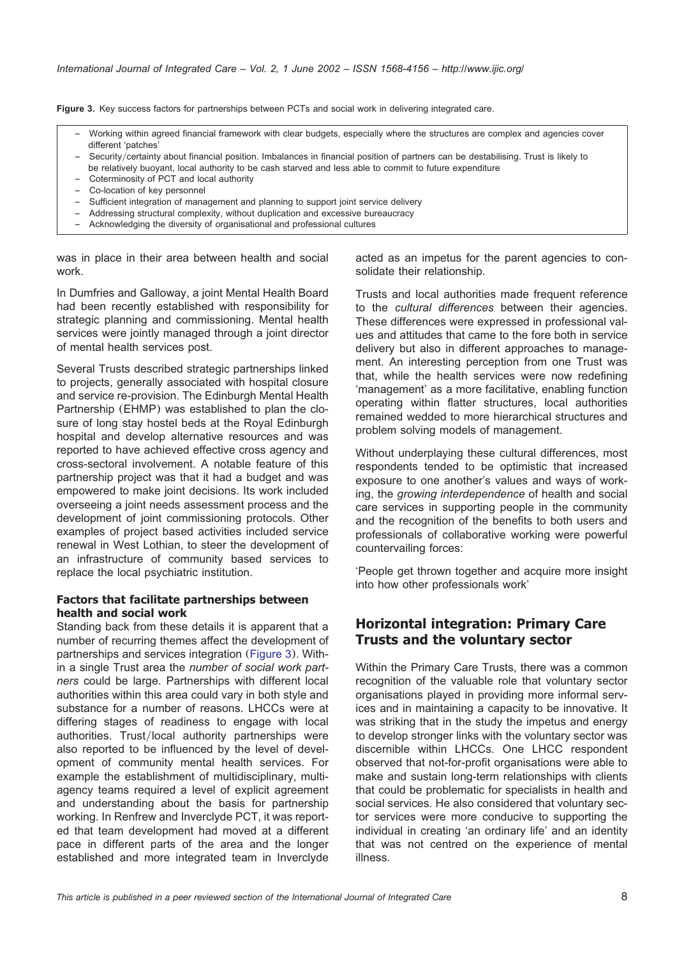**Figure 3.** Key success factors for partnerships between PCTs and social work in delivering integrated care.

- Working within agreed financial framework with clear budgets, especially where the structures are complex and agencies cover different 'patches'
- Securityycertainty about financial position. Imbalances in financial position of partners can be destabilising. Trust is likely to be relatively buoyant, local authority to be cash starved and less able to commit to future expenditure
- Coterminosity of PCT and local authority
- Co-location of key personnel
- Sufficient integration of management and planning to support joint service delivery
- Addressing structural complexity, without duplication and excessive bureaucracy
- Acknowledging the diversity of organisational and professional cultures

was in place in their area between health and social work.

In Dumfries and Galloway, a joint Mental Health Board had been recently established with responsibility for strategic planning and commissioning. Mental health services were jointly managed through a joint director of mental health services post.

Several Trusts described strategic partnerships linked to projects, generally associated with hospital closure and service re-provision. The Edinburgh Mental Health Partnership (EHMP) was established to plan the closure of long stay hostel beds at the Royal Edinburgh hospital and develop alternative resources and was reported to have achieved effective cross agency and cross-sectoral involvement. A notable feature of this partnership project was that it had a budget and was empowered to make joint decisions. Its work included overseeing a joint needs assessment process and the development of joint commissioning protocols. Other examples of project based activities included service renewal in West Lothian, to steer the development of an infrastructure of community based services to replace the local psychiatric institution.

#### **Factors that facilitate partnerships between health and social work**

Standing back from these details it is apparent that a number of recurring themes affect the development of partnerships and services integration (Figure 3). Within a single Trust area the *number of social work partners* could be large. Partnerships with different local authorities within this area could vary in both style and substance for a number of reasons. LHCCs were at differing stages of readiness to engage with local authorities. Trust/local authority partnerships were also reported to be influenced by the level of development of community mental health services. For example the establishment of multidisciplinary, multiagency teams required a level of explicit agreement and understanding about the basis for partnership working. In Renfrew and Inverclyde PCT, it was reported that team development had moved at a different pace in different parts of the area and the longer established and more integrated team in Inverclyde acted as an impetus for the parent agencies to consolidate their relationship.

Trusts and local authorities made frequent reference to the *cultural differences* between their agencies. These differences were expressed in professional values and attitudes that came to the fore both in service delivery but also in different approaches to management. An interesting perception from one Trust was that, while the health services were now redefining 'management' as a more facilitative, enabling function operating within flatter structures, local authorities remained wedded to more hierarchical structures and problem solving models of management.

Without underplaying these cultural differences, most respondents tended to be optimistic that increased exposure to one another's values and ways of working, the *growing interdependence* of health and social care services in supporting people in the community and the recognition of the benefits to both users and professionals of collaborative working were powerful countervailing forces:

'People get thrown together and acquire more insight into how other professionals work'

### **Horizontal integration: Primary Care Trusts and the voluntary sector**

Within the Primary Care Trusts, there was a common recognition of the valuable role that voluntary sector organisations played in providing more informal services and in maintaining a capacity to be innovative. It was striking that in the study the impetus and energy to develop stronger links with the voluntary sector was discernible within LHCCs. One LHCC respondent observed that not-for-profit organisations were able to make and sustain long-term relationships with clients that could be problematic for specialists in health and social services. He also considered that voluntary sector services were more conducive to supporting the individual in creating 'an ordinary life' and an identity that was not centred on the experience of mental illness.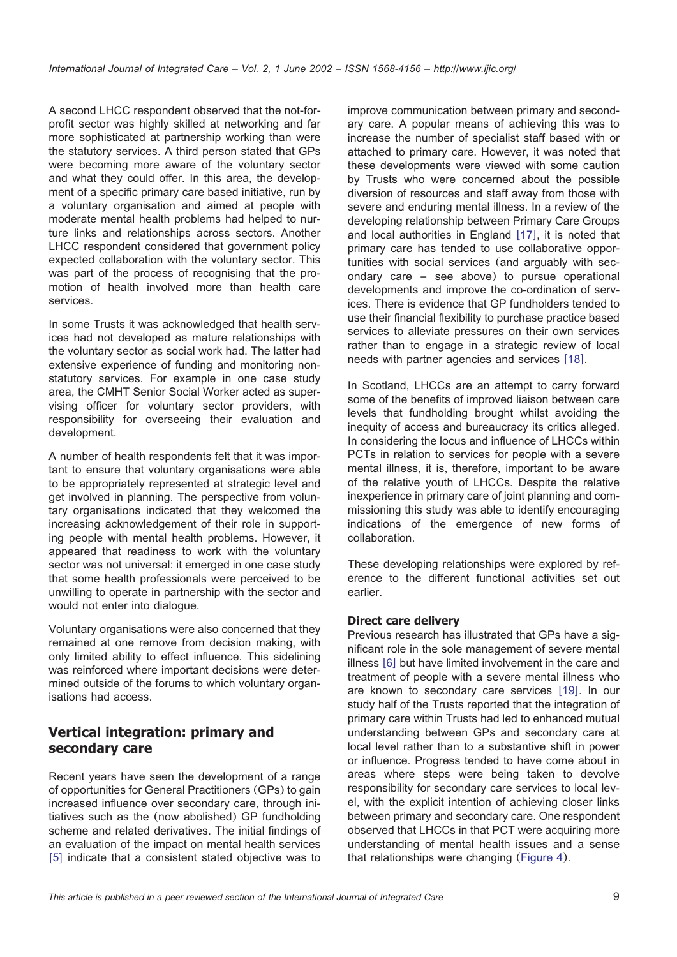A second LHCC respondent observed that the not-forprofit sector was highly skilled at networking and far more sophisticated at partnership working than were the statutory services. A third person stated that GPs were becoming more aware of the voluntary sector and what they could offer. In this area, the development of a specific primary care based initiative, run by a voluntary organisation and aimed at people with moderate mental health problems had helped to nurture links and relationships across sectors. Another LHCC respondent considered that government policy expected collaboration with the voluntary sector. This was part of the process of recognising that the promotion of health involved more than health care services.

In some Trusts it was acknowledged that health services had not developed as mature relationships with the voluntary sector as social work had. The latter had extensive experience of funding and monitoring nonstatutory services. For example in one case study area, the CMHT Senior Social Worker acted as supervising officer for voluntary sector providers, with responsibility for overseeing their evaluation and development.

A number of health respondents felt that it was important to ensure that voluntary organisations were able to be appropriately represented at strategic level and get involved in planning. The perspective from voluntary organisations indicated that they welcomed the increasing acknowledgement of their role in supporting people with mental health problems. However, it appeared that readiness to work with the voluntary sector was not universal: it emerged in one case study that some health professionals were perceived to be unwilling to operate in partnership with the sector and would not enter into dialogue.

Voluntary organisations were also concerned that they remained at one remove from decision making, with only limited ability to effect influence. This sidelining was reinforced where important decisions were determined outside of the forums to which voluntary organisations had access.

## **Vertical integration: primary and secondary care**

Recent years have seen the development of a range of opportunities for General Practitioners (GPs) to gain increased influence over secondary care, through initiatives such as the (now abolished) GP fundholding scheme and related derivatives. The initial findings of an evaluation of the impact on mental health services  $[5]$  $[5]$  $[5]$  indicate that a consistent stated objective was to

improve communication between primary and secondary care. A popular means of achieving this was to increase the number of specialist staff based with or attached to primary care. However, it was noted that these developments were viewed with some caution by Trusts who were concerned about the possible diversion of resources and staff away from those with severe and enduring mental illness. In a review of the developing relationship between Primary Care Groups and local authorities in England  $[17]$  $[17]$  $[17]$ , it is noted that primary care has tended to use collaborative opportunities with social services (and arguably with secondary care – see above) to pursue operational developments and improve the co-ordination of services. There is evidence that GP fundholders tended to use their financial flexibility to purchase practice based services to alleviate pressures on their own services rather than to engage in a strategic review of local needs with partner agencies and services [[18](#page-17-0)].

In Scotland, LHCCs are an attempt to carry forward some of the benefits of improved liaison between care levels that fundholding brought whilst avoiding the inequity of access and bureaucracy its critics alleged. In considering the locus and influence of LHCCs within PCTs in relation to services for people with a severe mental illness, it is, therefore, important to be aware of the relative youth of LHCCs. Despite the relative inexperience in primary care of joint planning and commissioning this study was able to identify encouraging indications of the emergence of new forms of collaboration.

These developing relationships were explored by reference to the different functional activities set out earlier.

#### **Direct care delivery**

Previous research has illustrated that GPs have a significant role in the sole management of severe mental illness  $[6]$  $[6]$  $[6]$  but have limited involvement in the care and treatment of people with a severe mental illness who are known to secondary care services [[19](#page-17-0)]. In our study half of the Trusts reported that the integration of primary care within Trusts had led to enhanced mutual understanding between GPs and secondary care at local level rather than to a substantive shift in power or influence. Progress tended to have come about in areas where steps were being taken to devolve responsibility for secondary care services to local level, with the explicit intention of achieving closer links between primary and secondary care. One respondent observed that LHCCs in that PCT were acquiring more understanding of mental health issues and a sense that relationships were changing ([Figure 4](#page-9-0)).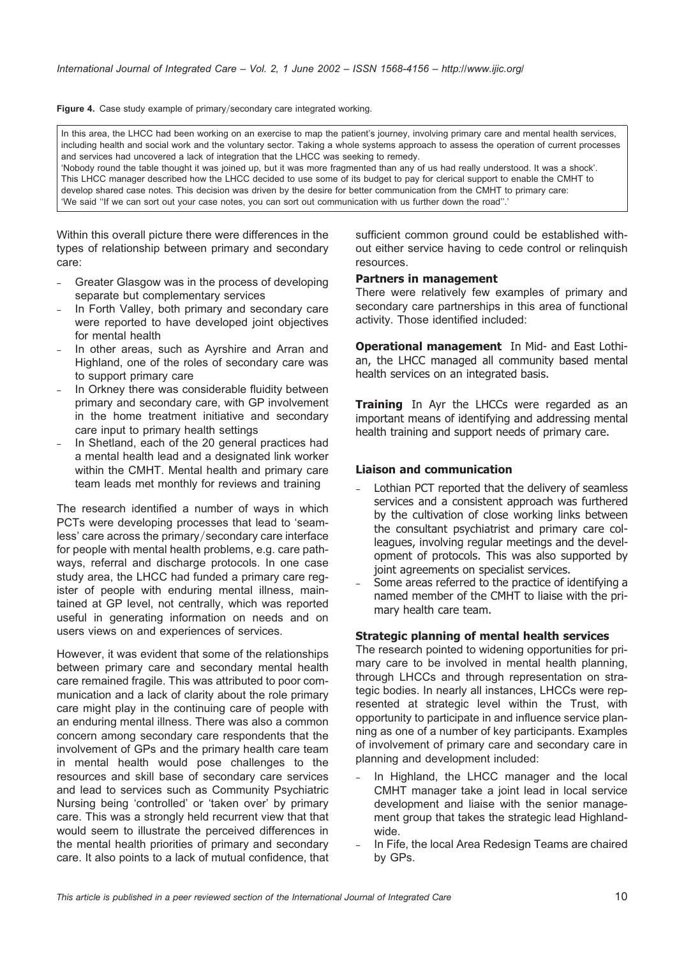<span id="page-9-0"></span>Figure 4. Case study example of primary/secondary care integrated working.

In this area, the LHCC had been working on an exercise to map the patient's journey, involving primary care and mental health services, including health and social work and the voluntary sector. Taking a whole systems approach to assess the operation of current processes and services had uncovered a lack of integration that the LHCC was seeking to remedy.

'Nobody round the table thought it was joined up, but it was more fragmented than any of us had really understood. It was a shock'. This LHCC manager described how the LHCC decided to use some of its budget to pay for clerical support to enable the CMHT to develop shared case notes. This decision was driven by the desire for better communication from the CMHT to primary care: 'We said ''If we can sort out your case notes, you can sort out communication with us further down the road''.'

Within this overall picture there were differences in the types of relationship between primary and secondary care:

- Greater Glasgow was in the process of developing separate but complementary services
- In Forth Valley, both primary and secondary care were reported to have developed joint objectives for mental health
- In other areas, such as Ayrshire and Arran and Highland, one of the roles of secondary care was to support primary care
- In Orkney there was considerable fluidity between primary and secondary care, with GP involvement in the home treatment initiative and secondary care input to primary health settings
- In Shetland, each of the 20 general practices had a mental health lead and a designated link worker within the CMHT. Mental health and primary care team leads met monthly for reviews and training

The research identified a number of ways in which PCTs were developing processes that lead to 'seamless' care across the primary/secondary care interface for people with mental health problems, e.g. care pathways, referral and discharge protocols. In one case study area, the LHCC had funded a primary care register of people with enduring mental illness, maintained at GP level, not centrally, which was reported useful in generating information on needs and on users views on and experiences of services.

However, it was evident that some of the relationships between primary care and secondary mental health care remained fragile. This was attributed to poor communication and a lack of clarity about the role primary care might play in the continuing care of people with an enduring mental illness. There was also a common concern among secondary care respondents that the involvement of GPs and the primary health care team in mental health would pose challenges to the resources and skill base of secondary care services and lead to services such as Community Psychiatric Nursing being 'controlled' or 'taken over' by primary care. This was a strongly held recurrent view that that would seem to illustrate the perceived differences in the mental health priorities of primary and secondary care. It also points to a lack of mutual confidence, that sufficient common ground could be established without either service having to cede control or relinquish resources.

#### **Partners in management**

There were relatively few examples of primary and secondary care partnerships in this area of functional activity. Those identified included:

**Operational management** In Mid- and East Lothian, the LHCC managed all community based mental health services on an integrated basis.

**Training** In Ayr the LHCCs were regarded as an important means of identifying and addressing mental health training and support needs of primary care.

#### **Liaison and communication**

- Lothian PCT reported that the delivery of seamless services and a consistent approach was furthered by the cultivation of close working links between the consultant psychiatrist and primary care colleagues, involving regular meetings and the development of protocols. This was also supported by joint agreements on specialist services.
- Some areas referred to the practice of identifying a named member of the CMHT to liaise with the primary health care team.

#### **Strategic planning of mental health services**

The research pointed to widening opportunities for primary care to be involved in mental health planning, through LHCCs and through representation on strategic bodies. In nearly all instances, LHCCs were represented at strategic level within the Trust, with opportunity to participate in and influence service planning as one of a number of key participants. Examples of involvement of primary care and secondary care in planning and development included:

- In Highland, the LHCC manager and the local CMHT manager take a joint lead in local service development and liaise with the senior management group that takes the strategic lead Highlandwide.
- In Fife, the local Area Redesign Teams are chaired by GPs.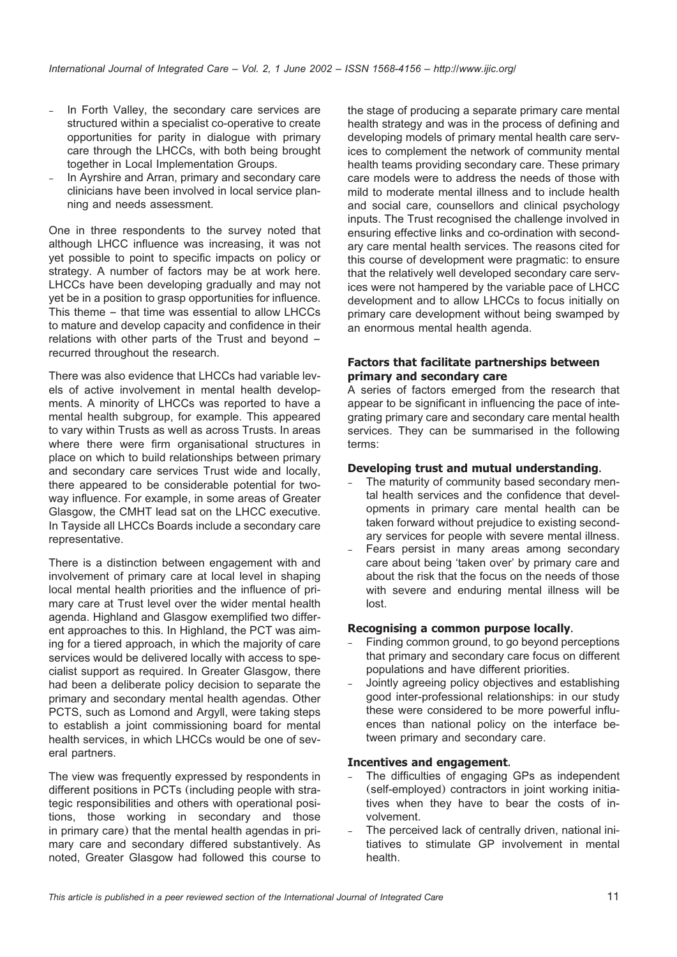- In Forth Valley, the secondary care services are structured within a specialist co-operative to create opportunities for parity in dialogue with primary care through the LHCCs, with both being brought together in Local Implementation Groups.
- In Ayrshire and Arran, primary and secondary care clinicians have been involved in local service planning and needs assessment.

One in three respondents to the survey noted that although LHCC influence was increasing, it was not yet possible to point to specific impacts on policy or strategy. A number of factors may be at work here. LHCCs have been developing gradually and may not yet be in a position to grasp opportunities for influence. This theme – that time was essential to allow LHCCs to mature and develop capacity and confidence in their relations with other parts of the Trust and beyond – recurred throughout the research.

There was also evidence that LHCCs had variable levels of active involvement in mental health developments. A minority of LHCCs was reported to have a mental health subgroup, for example. This appeared to vary within Trusts as well as across Trusts. In areas where there were firm organisational structures in place on which to build relationships between primary and secondary care services Trust wide and locally, there appeared to be considerable potential for twoway influence. For example, in some areas of Greater Glasgow, the CMHT lead sat on the LHCC executive. In Tayside all LHCCs Boards include a secondary care representative.

There is a distinction between engagement with and involvement of primary care at local level in shaping local mental health priorities and the influence of primary care at Trust level over the wider mental health agenda. Highland and Glasgow exemplified two different approaches to this. In Highland, the PCT was aiming for a tiered approach, in which the majority of care services would be delivered locally with access to specialist support as required. In Greater Glasgow, there had been a deliberate policy decision to separate the primary and secondary mental health agendas. Other PCTS, such as Lomond and Argyll, were taking steps to establish a joint commissioning board for mental health services, in which LHCCs would be one of several partners.

The view was frequently expressed by respondents in different positions in PCTs (including people with strategic responsibilities and others with operational positions, those working in secondary and those in primary care) that the mental health agendas in primary care and secondary differed substantively. As noted, Greater Glasgow had followed this course to

the stage of producing a separate primary care mental health strategy and was in the process of defining and developing models of primary mental health care services to complement the network of community mental health teams providing secondary care. These primary care models were to address the needs of those with mild to moderate mental illness and to include health and social care, counsellors and clinical psychology inputs. The Trust recognised the challenge involved in ensuring effective links and co-ordination with secondary care mental health services. The reasons cited for this course of development were pragmatic: to ensure that the relatively well developed secondary care services were not hampered by the variable pace of LHCC development and to allow LHCCs to focus initially on primary care development without being swamped by an enormous mental health agenda.

#### **Factors that facilitate partnerships between primary and secondary care**

A series of factors emerged from the research that appear to be significant in influencing the pace of integrating primary care and secondary care mental health services. They can be summarised in the following terms:

#### **Developing trust and mutual understanding**.

- The maturity of community based secondary mental health services and the confidence that developments in primary care mental health can be taken forward without prejudice to existing secondary services for people with severe mental illness.
- Fears persist in many areas among secondary care about being 'taken over' by primary care and about the risk that the focus on the needs of those with severe and enduring mental illness will be lost.

#### **Recognising a common purpose locally**.

- Finding common ground, to go beyond perceptions that primary and secondary care focus on different populations and have different priorities.
- Jointly agreeing policy objectives and establishing good inter-professional relationships: in our study these were considered to be more powerful influences than national policy on the interface between primary and secondary care.

#### **Incentives and engagement**.

- The difficulties of engaging GPs as independent (self-employed) contractors in joint working initiatives when they have to bear the costs of involvement.
- The perceived lack of centrally driven, national initiatives to stimulate GP involvement in mental health.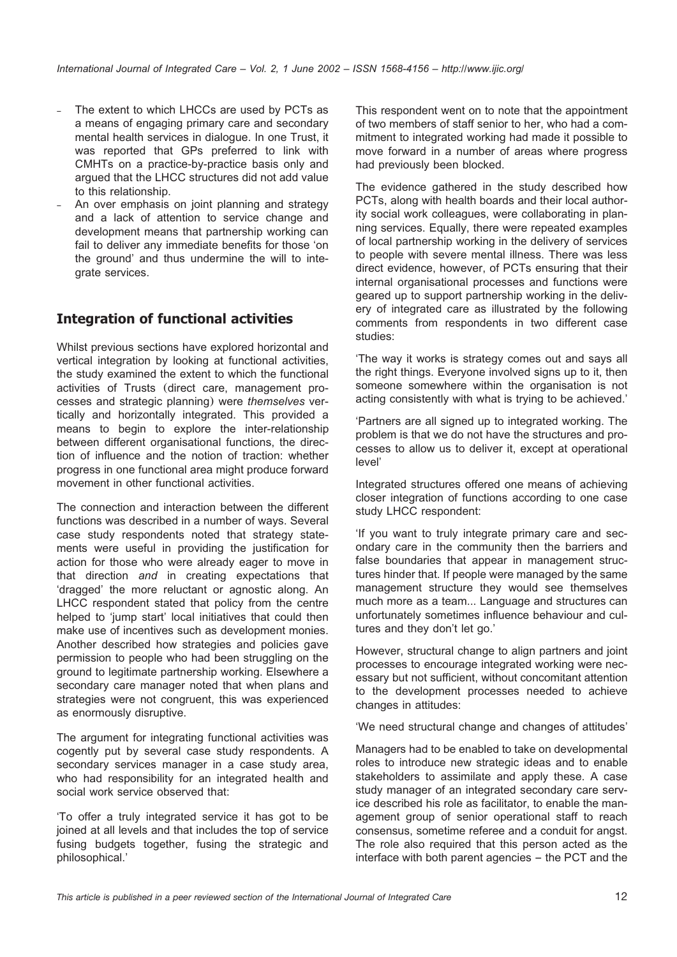- The extent to which LHCCs are used by PCTs as a means of engaging primary care and secondary mental health services in dialogue. In one Trust, it was reported that GPs preferred to link with CMHTs on a practice-by-practice basis only and argued that the LHCC structures did not add value to this relationship.
- An over emphasis on joint planning and strategy and a lack of attention to service change and development means that partnership working can fail to deliver any immediate benefits for those 'on the ground' and thus undermine the will to integrate services.

# **Integration of functional activities**

Whilst previous sections have explored horizontal and vertical integration by looking at functional activities, the study examined the extent to which the functional activities of Trusts (direct care, management processes and strategic planning) were *themselves* vertically and horizontally integrated. This provided a means to begin to explore the inter-relationship between different organisational functions, the direction of influence and the notion of traction: whether progress in one functional area might produce forward movement in other functional activities.

The connection and interaction between the different functions was described in a number of ways. Several case study respondents noted that strategy statements were useful in providing the justification for action for those who were already eager to move in that direction *and* in creating expectations that 'dragged' the more reluctant or agnostic along. An LHCC respondent stated that policy from the centre helped to 'jump start' local initiatives that could then make use of incentives such as development monies. Another described how strategies and policies gave permission to people who had been struggling on the ground to legitimate partnership working. Elsewhere a secondary care manager noted that when plans and strategies were not congruent, this was experienced as enormously disruptive.

The argument for integrating functional activities was cogently put by several case study respondents. A secondary services manager in a case study area, who had responsibility for an integrated health and social work service observed that:

'To offer a truly integrated service it has got to be joined at all levels and that includes the top of service fusing budgets together, fusing the strategic and philosophical.'

This respondent went on to note that the appointment of two members of staff senior to her, who had a commitment to integrated working had made it possible to move forward in a number of areas where progress had previously been blocked.

The evidence gathered in the study described how PCTs, along with health boards and their local authority social work colleagues, were collaborating in planning services. Equally, there were repeated examples of local partnership working in the delivery of services to people with severe mental illness. There was less direct evidence, however, of PCTs ensuring that their internal organisational processes and functions were geared up to support partnership working in the delivery of integrated care as illustrated by the following comments from respondents in two different case studies:

'The way it works is strategy comes out and says all the right things. Everyone involved signs up to it, then someone somewhere within the organisation is not acting consistently with what is trying to be achieved.'

'Partners are all signed up to integrated working. The problem is that we do not have the structures and processes to allow us to deliver it, except at operational level'

Integrated structures offered one means of achieving closer integration of functions according to one case study LHCC respondent:

'If you want to truly integrate primary care and secondary care in the community then the barriers and false boundaries that appear in management structures hinder that. If people were managed by the same management structure they would see themselves much more as a team... Language and structures can unfortunately sometimes influence behaviour and cultures and they don't let go.'

However, structural change to align partners and joint processes to encourage integrated working were necessary but not sufficient, without concomitant attention to the development processes needed to achieve changes in attitudes:

'We need structural change and changes of attitudes'

Managers had to be enabled to take on developmental roles to introduce new strategic ideas and to enable stakeholders to assimilate and apply these. A case study manager of an integrated secondary care service described his role as facilitator, to enable the management group of senior operational staff to reach consensus, sometime referee and a conduit for angst. The role also required that this person acted as the interface with both parent agencies – the PCT and the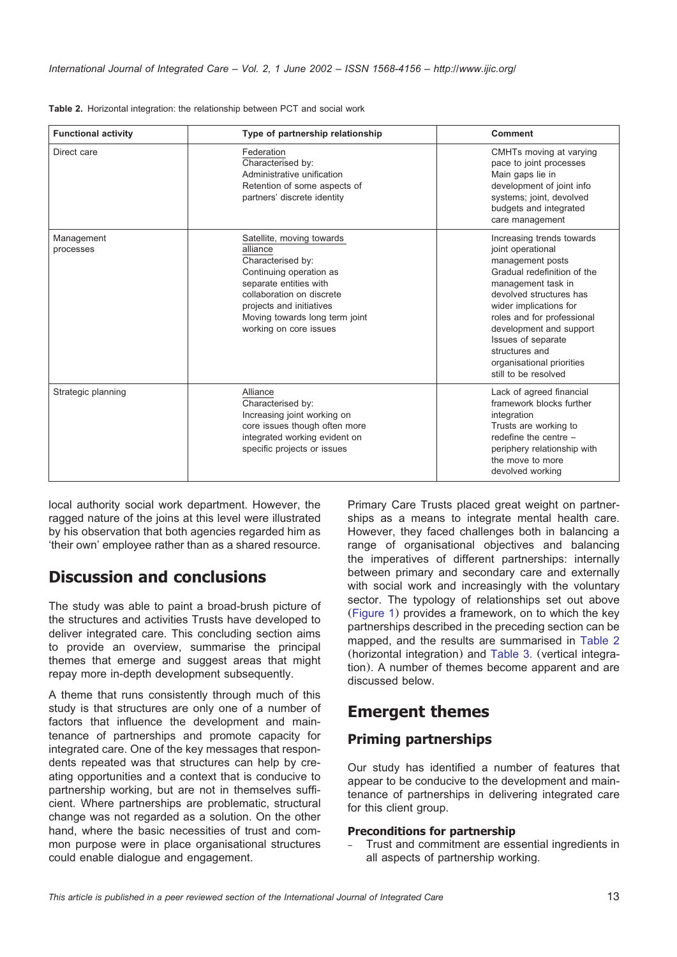| <b>Functional activity</b> | Type of partnership relationship                                                                                                                                                                                                     | Comment                                                                                                                                                                                                                                                                                                                            |
|----------------------------|--------------------------------------------------------------------------------------------------------------------------------------------------------------------------------------------------------------------------------------|------------------------------------------------------------------------------------------------------------------------------------------------------------------------------------------------------------------------------------------------------------------------------------------------------------------------------------|
| Direct care                | Federation<br>Characterised by:<br>Administrative unification<br>Retention of some aspects of<br>partners' discrete identity                                                                                                         | CMHTs moving at varying<br>pace to joint processes<br>Main gaps lie in<br>development of joint info<br>systems; joint, devolved<br>budgets and integrated<br>care management                                                                                                                                                       |
| Management<br>processes    | Satellite, moving towards<br>alliance<br>Characterised by:<br>Continuing operation as<br>separate entities with<br>collaboration on discrete<br>projects and initiatives<br>Moving towards long term joint<br>working on core issues | Increasing trends towards<br>joint operational<br>management posts<br>Gradual redefinition of the<br>management task in<br>devolved structures has<br>wider implications for<br>roles and for professional<br>development and support<br>Issues of separate<br>structures and<br>organisational priorities<br>still to be resolved |
| Strategic planning         | Alliance<br>Characterised by:<br>Increasing joint working on<br>core issues though often more<br>integrated working evident on<br>specific projects or issues                                                                        | Lack of agreed financial<br>framework blocks further<br>integration<br>Trusts are working to<br>redefine the centre -<br>periphery relationship with<br>the move to more<br>devolved working                                                                                                                                       |

|  |  |  |  | Table 2. Horizontal integration: the relationship between PCT and social work |  |  |  |  |  |  |
|--|--|--|--|-------------------------------------------------------------------------------|--|--|--|--|--|--|
|--|--|--|--|-------------------------------------------------------------------------------|--|--|--|--|--|--|

local authority social work department. However, the ragged nature of the joins at this level were illustrated by his observation that both agencies regarded him as 'their own' employee rather than as a shared resource.

# **Discussion and conclusions**

The study was able to paint a broad-brush picture of the structures and activities Trusts have developed to deliver integrated care. This concluding section aims to provide an overview, summarise the principal themes that emerge and suggest areas that might repay more in-depth development subsequently.

A theme that runs consistently through much of this study is that structures are only one of a number of factors that influence the development and maintenance of partnerships and promote capacity for integrated care. One of the key messages that respondents repeated was that structures can help by creating opportunities and a context that is conducive to partnership working, but are not in themselves sufficient. Where partnerships are problematic, structural change was not regarded as a solution. On the other hand, where the basic necessities of trust and common purpose were in place organisational structures could enable dialogue and engagement.

Primary Care Trusts placed great weight on partnerships as a means to integrate mental health care. However, they faced challenges both in balancing a range of organisational objectives and balancing the imperatives of different partnerships: internally between primary and secondary care and externally with social work and increasingly with the voluntary sector. The typology of relationships set out above ([Figure 1](#page-2-0)) provides a framework, on to which the key partnerships described in the preceding section can be mapped, and the results are summarised in Table 2 (horizontal integration) and [Table 3.](#page-13-0) (vertical integration). A number of themes become apparent and are discussed below.

# **Emergent themes**

### **Priming partnerships**

Our study has identified a number of features that appear to be conducive to the development and maintenance of partnerships in delivering integrated care for this client group.

#### **Preconditions for partnership**

– Trust and commitment are essential ingredients in all aspects of partnership working.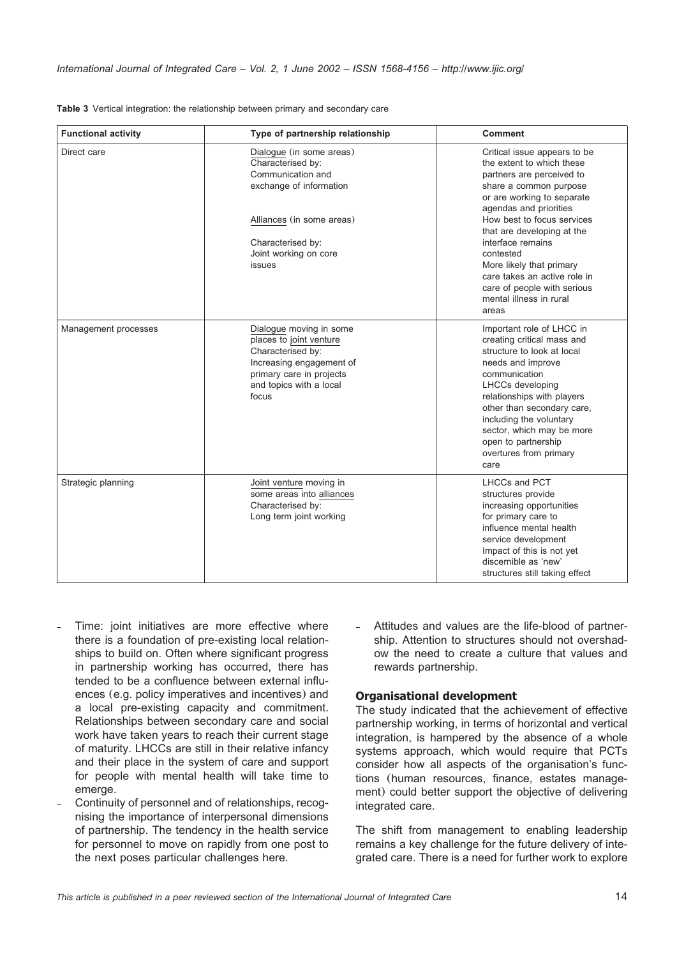| <b>Functional activity</b> | Type of partnership relationship                                                                                                                                                   | <b>Comment</b>                                                                                                                                                                                                                                                                                                                                                                                        |
|----------------------------|------------------------------------------------------------------------------------------------------------------------------------------------------------------------------------|-------------------------------------------------------------------------------------------------------------------------------------------------------------------------------------------------------------------------------------------------------------------------------------------------------------------------------------------------------------------------------------------------------|
| Direct care                | Dialogue (in some areas)<br>Characterised by:<br>Communication and<br>exchange of information<br>Alliances (in some areas)<br>Characterised by:<br>Joint working on core<br>issues | Critical issue appears to be<br>the extent to which these<br>partners are perceived to<br>share a common purpose<br>or are working to separate<br>agendas and priorities<br>How best to focus services<br>that are developing at the<br>interface remains<br>contested<br>More likely that primary<br>care takes an active role in<br>care of people with serious<br>mental illness in rural<br>areas |
| Management processes       | Dialogue moving in some<br>places to joint venture<br>Characterised by:<br>Increasing engagement of<br>primary care in projects<br>and topics with a local<br>focus                | Important role of LHCC in<br>creating critical mass and<br>structure to look at local<br>needs and improve<br>communication<br>LHCCs developing<br>relationships with players<br>other than secondary care,<br>including the voluntary<br>sector, which may be more<br>open to partnership<br>overtures from primary<br>care                                                                          |
| Strategic planning         | Joint venture moving in<br>some areas into alliances<br>Characterised by:<br>Long term joint working                                                                               | LHCCs and PCT<br>structures provide<br>increasing opportunities<br>for primary care to<br>influence mental health<br>service development<br>Impact of this is not yet<br>discernible as 'new'<br>structures still taking effect                                                                                                                                                                       |

<span id="page-13-0"></span>

|  | Table 3 Vertical integration: the relationship between primary and secondary care |  |  |  |  |
|--|-----------------------------------------------------------------------------------|--|--|--|--|
|  |                                                                                   |  |  |  |  |

- Time: joint initiatives are more effective where there is a foundation of pre-existing local relationships to build on. Often where significant progress in partnership working has occurred, there has tended to be a confluence between external influences (e.g. policy imperatives and incentives) and a local pre-existing capacity and commitment. Relationships between secondary care and social work have taken years to reach their current stage of maturity. LHCCs are still in their relative infancy and their place in the system of care and support for people with mental health will take time to emerge.
- Continuity of personnel and of relationships, recognising the importance of interpersonal dimensions of partnership. The tendency in the health service for personnel to move on rapidly from one post to the next poses particular challenges here.

– Attitudes and values are the life-blood of partnership. Attention to structures should not overshadow the need to create a culture that values and rewards partnership.

#### **Organisational development**

The study indicated that the achievement of effective partnership working, in terms of horizontal and vertical integration, is hampered by the absence of a whole systems approach, which would require that PCTs consider how all aspects of the organisation's functions (human resources, finance, estates management) could better support the objective of delivering integrated care.

The shift from management to enabling leadership remains a key challenge for the future delivery of integrated care. There is a need for further work to explore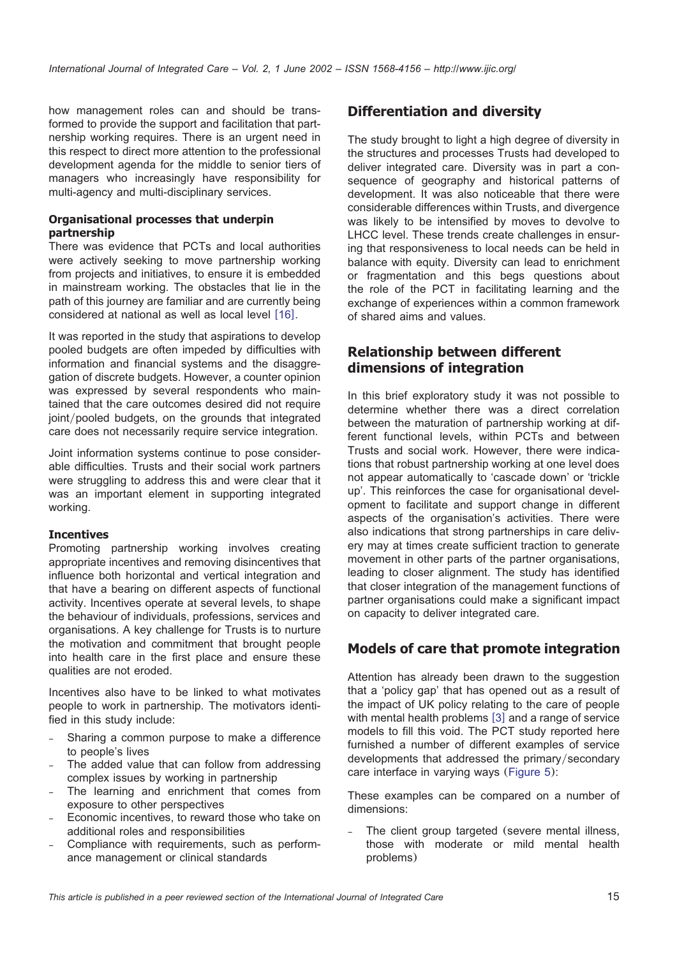how management roles can and should be transformed to provide the support and facilitation that partnership working requires. There is an urgent need in this respect to direct more attention to the professional development agenda for the middle to senior tiers of managers who increasingly have responsibility for multi-agency and multi-disciplinary services.

#### **Organisational processes that underpin partnership**

There was evidence that PCTs and local authorities were actively seeking to move partnership working from projects and initiatives, to ensure it is embedded in mainstream working. The obstacles that lie in the path of this journey are familiar and are currently being considered at national as well as local level  $[16]$  $[16]$  $[16]$ .

It was reported in the study that aspirations to develop pooled budgets are often impeded by difficulties with information and financial systems and the disaggregation of discrete budgets. However, a counter opinion was expressed by several respondents who maintained that the care outcomes desired did not require joint/pooled budgets, on the grounds that integrated care does not necessarily require service integration.

Joint information systems continue to pose considerable difficulties. Trusts and their social work partners were struggling to address this and were clear that it was an important element in supporting integrated working.

#### **Incentives**

Promoting partnership working involves creating appropriate incentives and removing disincentives that influence both horizontal and vertical integration and that have a bearing on different aspects of functional activity. Incentives operate at several levels, to shape the behaviour of individuals, professions, services and organisations. A key challenge for Trusts is to nurture the motivation and commitment that brought people into health care in the first place and ensure these qualities are not eroded.

Incentives also have to be linked to what motivates people to work in partnership. The motivators identified in this study include:

- Sharing a common purpose to make a difference to people's lives
- The added value that can follow from addressing complex issues by working in partnership
- The learning and enrichment that comes from exposure to other perspectives
- Economic incentives, to reward those who take on additional roles and responsibilities
- Compliance with requirements, such as performance management or clinical standards

## **Differentiation and diversity**

The study brought to light a high degree of diversity in the structures and processes Trusts had developed to deliver integrated care. Diversity was in part a consequence of geography and historical patterns of development. It was also noticeable that there were considerable differences within Trusts, and divergence was likely to be intensified by moves to devolve to LHCC level. These trends create challenges in ensuring that responsiveness to local needs can be held in balance with equity. Diversity can lead to enrichment or fragmentation and this begs questions about the role of the PCT in facilitating learning and the exchange of experiences within a common framework of shared aims and values.

## **Relationship between different dimensions of integration**

In this brief exploratory study it was not possible to determine whether there was a direct correlation between the maturation of partnership working at different functional levels, within PCTs and between Trusts and social work. However, there were indications that robust partnership working at one level does not appear automatically to 'cascade down' or 'trickle up'. This reinforces the case for organisational development to facilitate and support change in different aspects of the organisation's activities. There were also indications that strong partnerships in care delivery may at times create sufficient traction to generate movement in other parts of the partner organisations, leading to closer alignment. The study has identified that closer integration of the management functions of partner organisations could make a significant impact on capacity to deliver integrated care.

### **Models of care that promote integration**

Attention has already been drawn to the suggestion that a 'policy gap' that has opened out as a result of the impact of UK policy relating to the care of people with mental health problems  $[3]$  $[3]$  $[3]$  and a range of service models to fill this void. The PCT study reported here furnished a number of different examples of service developments that addressed the primary/secondary care interface in varying ways ([Figure 5](#page-15-0)):

These examples can be compared on a number of dimensions:

The client group targeted (severe mental illness, those with moderate or mild mental health problems)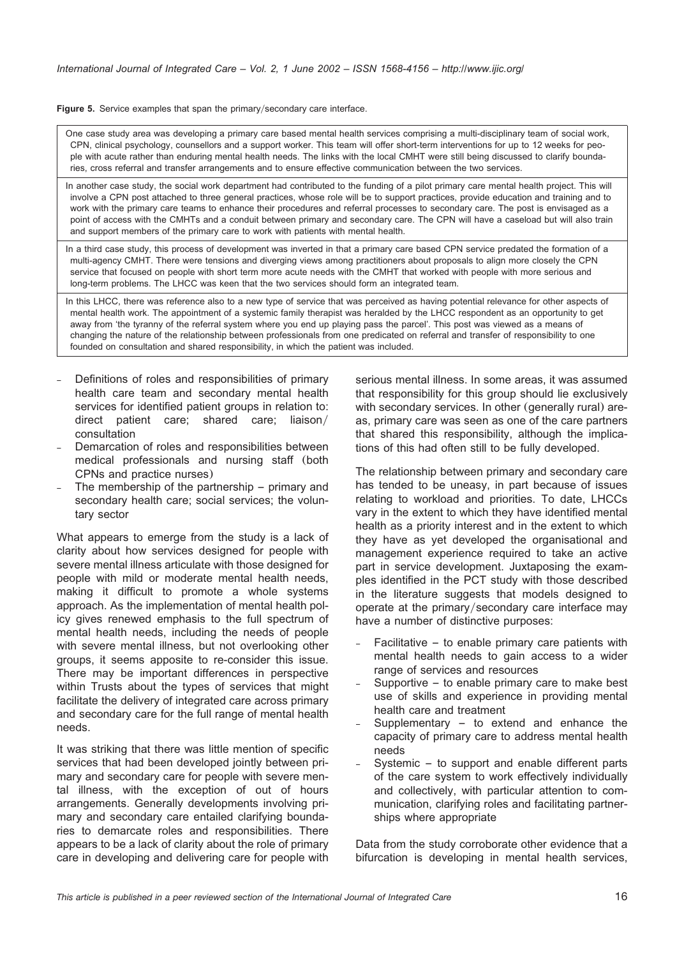<span id="page-15-0"></span>Figure 5. Service examples that span the primary/secondary care interface.

One case study area was developing a primary care based mental health services comprising a multi-disciplinary team of social work, CPN, clinical psychology, counsellors and a support worker. This team will offer short-term interventions for up to 12 weeks for people with acute rather than enduring mental health needs. The links with the local CMHT were still being discussed to clarify boundaries, cross referral and transfer arrangements and to ensure effective communication between the two services.

In another case study, the social work department had contributed to the funding of a pilot primary care mental health project. This will involve a CPN post attached to three general practices, whose role will be to support practices, provide education and training and to work with the primary care teams to enhance their procedures and referral processes to secondary care. The post is envisaged as a point of access with the CMHTs and a conduit between primary and secondary care. The CPN will have a caseload but will also train and support members of the primary care to work with patients with mental health.

In a third case study, this process of development was inverted in that a primary care based CPN service predated the formation of a multi-agency CMHT. There were tensions and diverging views among practitioners about proposals to align more closely the CPN service that focused on people with short term more acute needs with the CMHT that worked with people with more serious and long-term problems. The LHCC was keen that the two services should form an integrated team.

In this LHCC, there was reference also to a new type of service that was perceived as having potential relevance for other aspects of mental health work. The appointment of a systemic family therapist was heralded by the LHCC respondent as an opportunity to get away from 'the tyranny of the referral system where you end up playing pass the parcel'. This post was viewed as a means of changing the nature of the relationship between professionals from one predicated on referral and transfer of responsibility to one founded on consultation and shared responsibility, in which the patient was included.

- Definitions of roles and responsibilities of primary health care team and secondary mental health services for identified patient groups in relation to: direct patient care; shared care; liaison/ consultation
- Demarcation of roles and responsibilities between medical professionals and nursing staff (both CPNs and practice nurses)
- The membership of the partnership  $-$  primary and secondary health care; social services; the voluntary sector

What appears to emerge from the study is a lack of clarity about how services designed for people with severe mental illness articulate with those designed for people with mild or moderate mental health needs, making it difficult to promote a whole systems approach. As the implementation of mental health policy gives renewed emphasis to the full spectrum of mental health needs, including the needs of people with severe mental illness, but not overlooking other groups, it seems apposite to re-consider this issue. There may be important differences in perspective within Trusts about the types of services that might facilitate the delivery of integrated care across primary and secondary care for the full range of mental health needs.

It was striking that there was little mention of specific services that had been developed jointly between primary and secondary care for people with severe mental illness, with the exception of out of hours arrangements. Generally developments involving primary and secondary care entailed clarifying boundaries to demarcate roles and responsibilities. There appears to be a lack of clarity about the role of primary care in developing and delivering care for people with serious mental illness. In some areas, it was assumed that responsibility for this group should lie exclusively with secondary services. In other (generally rural) areas, primary care was seen as one of the care partners that shared this responsibility, although the implications of this had often still to be fully developed.

The relationship between primary and secondary care has tended to be uneasy, in part because of issues relating to workload and priorities. To date, LHCCs vary in the extent to which they have identified mental health as a priority interest and in the extent to which they have as yet developed the organisational and management experience required to take an active part in service development. Juxtaposing the examples identified in the PCT study with those described in the literature suggests that models designed to operate at the primary/secondary care interface may have a number of distinctive purposes:

- Facilitative to enable primary care patients with mental health needs to gain access to a wider range of services and resources
- Supportive  $-$  to enable primary care to make best use of skills and experience in providing mental health care and treatment
- Supplementary  $-$  to extend and enhance the capacity of primary care to address mental health needs
- Systemic to support and enable different parts of the care system to work effectively individually and collectively, with particular attention to communication, clarifying roles and facilitating partnerships where appropriate

Data from the study corroborate other evidence that a bifurcation is developing in mental health services,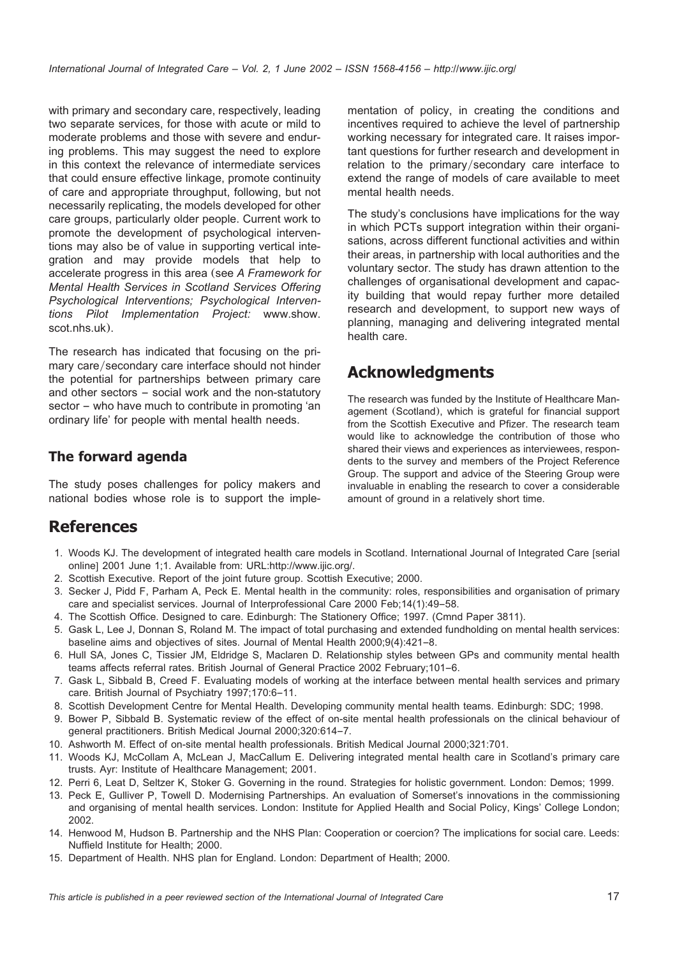<span id="page-16-0"></span>with primary and secondary care, respectively, leading two separate services, for those with acute or mild to moderate problems and those with severe and enduring problems. This may suggest the need to explore in this context the relevance of intermediate services that could ensure effective linkage, promote continuity of care and appropriate throughput, following, but not necessarily replicating, the models developed for other care groups, particularly older people. Current work to promote the development of psychological interventions may also be of value in supporting vertical integration and may provide models that help to accelerate progress in this area (see *A Framework for Mental Health Services in Scotland Services Offering Psychological Interventions; Psychological Interventions Pilot Implementation Project:* www.show. scot.nhs.uk).

The research has indicated that focusing on the primary care/secondary care interface should not hinder the potential for partnerships between primary care and other sectors – social work and the non-statutory sector – who have much to contribute in promoting 'an ordinary life' for people with mental health needs.

## **The forward agenda**

The study poses challenges for policy makers and national bodies whose role is to support the implementation of policy, in creating the conditions and incentives required to achieve the level of partnership working necessary for integrated care. It raises important questions for further research and development in relation to the primary/secondary care interface to extend the range of models of care available to meet mental health needs.

The study's conclusions have implications for the way in which PCTs support integration within their organisations, across different functional activities and within their areas, in partnership with local authorities and the voluntary sector. The study has drawn attention to the challenges of organisational development and capacity building that would repay further more detailed research and development, to support new ways of planning, managing and delivering integrated mental health care.

# **Acknowledgments**

The research was funded by the Institute of Healthcare Management (Scotland), which is grateful for financial support from the Scottish Executive and Pfizer. The research team would like to acknowledge the contribution of those who shared their views and experiences as interviewees, respondents to the survey and members of the Project Reference Group. The support and advice of the Steering Group were invaluable in enabling the research to cover a considerable amount of ground in a relatively short time.

# **References**

- 1. Woods KJ. The development of integrated health care models in Scotland. International Journal of Integrated Care [serial online] 2001 June 1;1. Available from: URL:http://www.ijic.org/.
- 2. Scottish Executive. Report of the joint future group. Scottish Executive; 2000.
- 3. Secker J, Pidd F, Parham A, Peck E. Mental health in the community: roles, responsibilities and organisation of primary care and specialist services. Journal of Interprofessional Care 2000 Feb;14(1):49–58.
- 4. The Scottish Office. Designed to care. Edinburgh: The Stationery Office; 1997. (Cmnd Paper 3811).
- 5. Gask L, Lee J, Donnan S, Roland M. The impact of total purchasing and extended fundholding on mental health services: baseline aims and objectives of sites. Journal of Mental Health 2000;9(4):421–8.
- 6. Hull SA, Jones C, Tissier JM, Eldridge S, Maclaren D. Relationship styles between GPs and community mental health teams affects referral rates. British Journal of General Practice 2002 February;101–6.
- 7. Gask L, Sibbald B, Creed F. Evaluating models of working at the interface between mental health services and primary care. British Journal of Psychiatry 1997;170:6–11.
- 8. Scottish Development Centre for Mental Health. Developing community mental health teams. Edinburgh: SDC; 1998.
- 9. Bower P, Sibbald B. Systematic review of the effect of on-site mental health professionals on the clinical behaviour of general practitioners. British Medical Journal 2000;320:614–7.
- 10. Ashworth M. Effect of on-site mental health professionals. British Medical Journal 2000;321:701.
- 11. Woods KJ, McCollam A, McLean J, MacCallum E. Delivering integrated mental health care in Scotland's primary care trusts. Ayr: Institute of Healthcare Management; 2001.
- 12. Perri 6, Leat D, Seltzer K, Stoker G. Governing in the round. Strategies for holistic government. London: Demos; 1999.
- 13. Peck E, Gulliver P, Towell D. Modernising Partnerships. An evaluation of Somerset's innovations in the commissioning and organising of mental health services. London: Institute for Applied Health and Social Policy, Kings' College London; 2002.
- 14. Henwood M, Hudson B. Partnership and the NHS Plan: Cooperation or coercion? The implications for social care. Leeds: Nuffield Institute for Health; 2000.
- 15. Department of Health. NHS plan for England. London: Department of Health; 2000.